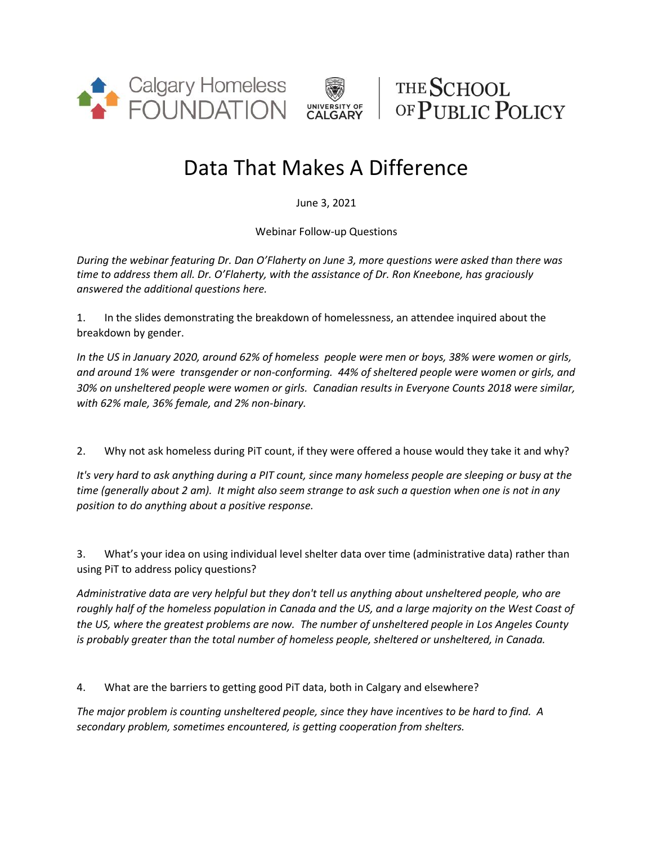



THE SCHOOL OF PUBLIC POLICY

## Data That Makes A Difference

June 3, 2021

Webinar Follow-up Questions

*During the webinar featuring Dr. Dan O'Flaherty on June 3, more questions were asked than there was time to address them all. Dr. O'Flaherty, with the assistance of Dr. Ron Kneebone, has graciously answered the additional questions here.*

1. In the slides demonstrating the breakdown of homelessness, an attendee inquired about the breakdown by gender.

*In the US in January 2020, around 62% of homeless people were men or boys, 38% were women or girls, and around 1% were transgender or non-conforming. 44% of sheltered people were women or girls, and 30% on unsheltered people were women or girls. Canadian results in Everyone Counts 2018 were similar, with 62% male, 36% female, and 2% non-binary.*

2. Why not ask homeless during PiT count, if they were offered a house would they take it and why?

*It's very hard to ask anything during a PIT count, since many homeless people are sleeping or busy at the time (generally about 2 am). It might also seem strange to ask such a question when one is not in any position to do anything about a positive response.*

3. What's your idea on using individual level shelter data over time (administrative data) rather than using PiT to address policy questions?

*Administrative data are very helpful but they don't tell us anything about unsheltered people, who are roughly half of the homeless population in Canada and the US, and a large majority on the West Coast of the US, where the greatest problems are now. The number of unsheltered people in Los Angeles County is probably greater than the total number of homeless people, sheltered or unsheltered, in Canada.*

4. What are the barriers to getting good PiT data, both in Calgary and elsewhere?

*The major problem is counting unsheltered people, since they have incentives to be hard to find. A secondary problem, sometimes encountered, is getting cooperation from shelters.*